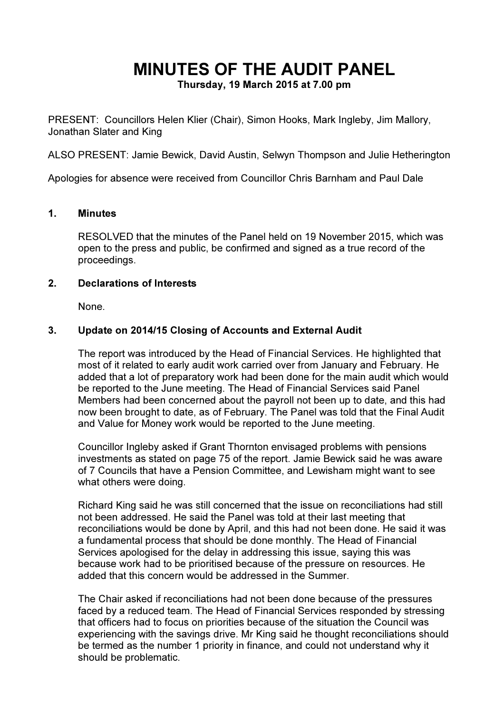# MINUTES OF THE AUDIT PANEL

Thursday, 19 March 2015 at 7.00 pm

PRESENT: Councillors Helen Klier (Chair), Simon Hooks, Mark Ingleby, Jim Mallory, Jonathan Slater and King

ALSO PRESENT: Jamie Bewick, David Austin, Selwyn Thompson and Julie Hetherington

Apologies for absence were received from Councillor Chris Barnham and Paul Dale

### 1. Minutes

RESOLVED that the minutes of the Panel held on 19 November 2015, which was open to the press and public, be confirmed and signed as a true record of the proceedings.

### 2. Declarations of Interests

None.

## 3. Update on 2014/15 Closing of Accounts and External Audit

The report was introduced by the Head of Financial Services. He highlighted that most of it related to early audit work carried over from January and February. He added that a lot of preparatory work had been done for the main audit which would be reported to the June meeting. The Head of Financial Services said Panel Members had been concerned about the payroll not been up to date, and this had now been brought to date, as of February. The Panel was told that the Final Audit and Value for Money work would be reported to the June meeting.

Councillor Ingleby asked if Grant Thornton envisaged problems with pensions investments as stated on page 75 of the report. Jamie Bewick said he was aware of 7 Councils that have a Pension Committee, and Lewisham might want to see what others were doing.

Richard King said he was still concerned that the issue on reconciliations had still not been addressed. He said the Panel was told at their last meeting that reconciliations would be done by April, and this had not been done. He said it was a fundamental process that should be done monthly. The Head of Financial Services apologised for the delay in addressing this issue, saying this was because work had to be prioritised because of the pressure on resources. He added that this concern would be addressed in the Summer.

The Chair asked if reconciliations had not been done because of the pressures faced by a reduced team. The Head of Financial Services responded by stressing that officers had to focus on priorities because of the situation the Council was experiencing with the savings drive. Mr King said he thought reconciliations should be termed as the number 1 priority in finance, and could not understand why it should be problematic.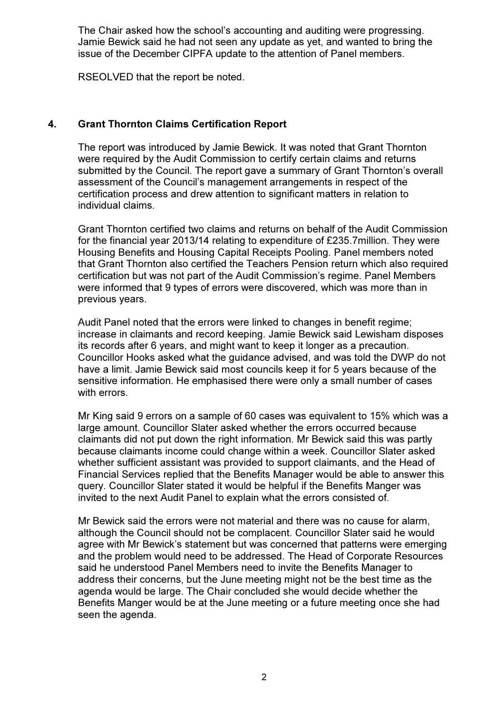The Chair asked how the school's accounting and auditing were progressing. Jamie Bewick said he had not seen any update as yet, and wanted to bring the issue of the December CIPFA update to the attention of Panel members.

RSEOLVED that the report be noted.

## 4. Grant Thornton Claims Certification Report

The report was introduced by Jamie Bewick. It was noted that Grant Thornton were required by the Audit Commission to certify certain claims and returns submitted by the Council. The report gave a summary of Grant Thornton's overall assessment of the Council's management arrangements in respect of the certification process and drew attention to significant matters in relation to individual claims.

Grant Thornton certified two claims and returns on behalf of the Audit Commission for the financial year 2013/14 relating to expenditure of £235.7million. They were Housing Benefits and Housing Capital Receipts Pooling. Panel members noted that Grant Thornton also certified the Teachers Pension return which also required certification but was not part of the Audit Commission's regime. Panel Members were informed that 9 types of errors were discovered, which was more than in previous years.

Audit Panel noted that the errors were linked to changes in benefit regime; increase in claimants and record keeping. Jamie Bewick said Lewisham disposes its records after 6 years, and might want to keep it longer as a precaution. Councillor Hooks asked what the guidance advised, and was told the DWP do not have a limit. Jamie Bewick said most councils keep it for 5 years because of the sensitive information. He emphasised there were only a small number of cases with errors.

Mr King said 9 errors on a sample of 60 cases was equivalent to 15% which was a large amount. Councillor Slater asked whether the errors occurred because claimants did not put down the right information. Mr Bewick said this was partly because claimants income could change within a week. Councillor Slater asked whether sufficient assistant was provided to support claimants, and the Head of Financial Services replied that the Benefits Manager would be able to answer this query. Councillor Slater stated it would be helpful if the Benefits Manger was invited to the next Audit Panel to explain what the errors consisted of.

Mr Bewick said the errors were not material and there was no cause for alarm, although the Council should not be complacent. Councillor Slater said he would agree with Mr Bewick's statement but was concerned that patterns were emerging and the problem would need to be addressed. The Head of Corporate Resources said he understood Panel Members need to invite the Benefits Manager to address their concerns, but the June meeting might not be the best time as the agenda would be large. The Chair concluded she would decide whether the Benefits Manger would be at the June meeting or a future meeting once she had seen the agenda.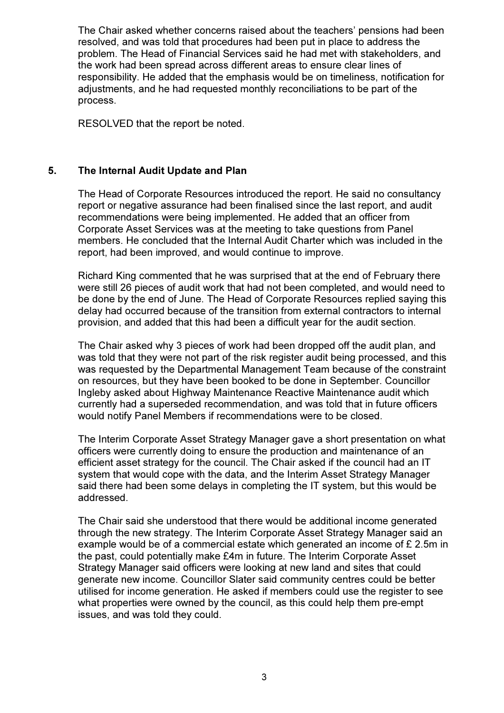The Chair asked whether concerns raised about the teachers' pensions had been resolved, and was told that procedures had been put in place to address the problem. The Head of Financial Services said he had met with stakeholders, and the work had been spread across different areas to ensure clear lines of responsibility. He added that the emphasis would be on timeliness, notification for adjustments, and he had requested monthly reconciliations to be part of the process.

RESOLVED that the report be noted.

## 5. The Internal Audit Update and Plan

The Head of Corporate Resources introduced the report. He said no consultancy report or negative assurance had been finalised since the last report, and audit recommendations were being implemented. He added that an officer from Corporate Asset Services was at the meeting to take questions from Panel members. He concluded that the Internal Audit Charter which was included in the report, had been improved, and would continue to improve.

Richard King commented that he was surprised that at the end of February there were still 26 pieces of audit work that had not been completed, and would need to be done by the end of June. The Head of Corporate Resources replied saying this delay had occurred because of the transition from external contractors to internal provision, and added that this had been a difficult year for the audit section.

The Chair asked why 3 pieces of work had been dropped off the audit plan, and was told that they were not part of the risk register audit being processed, and this was requested by the Departmental Management Team because of the constraint on resources, but they have been booked to be done in September. Councillor Ingleby asked about Highway Maintenance Reactive Maintenance audit which currently had a superseded recommendation, and was told that in future officers would notify Panel Members if recommendations were to be closed.

The Interim Corporate Asset Strategy Manager gave a short presentation on what officers were currently doing to ensure the production and maintenance of an efficient asset strategy for the council. The Chair asked if the council had an IT system that would cope with the data, and the Interim Asset Strategy Manager said there had been some delays in completing the IT system, but this would be addressed.

The Chair said she understood that there would be additional income generated through the new strategy. The Interim Corporate Asset Strategy Manager said an example would be of a commercial estate which generated an income of £ 2.5m in the past, could potentially make £4m in future. The Interim Corporate Asset Strategy Manager said officers were looking at new land and sites that could generate new income. Councillor Slater said community centres could be better utilised for income generation. He asked if members could use the register to see what properties were owned by the council, as this could help them pre-empt issues, and was told they could.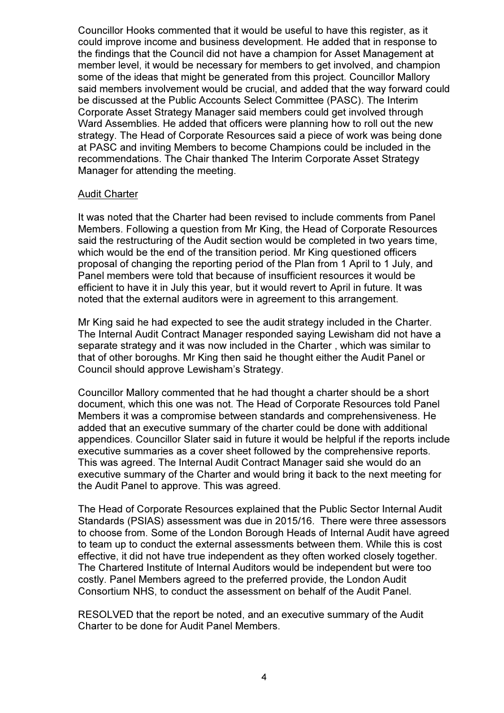Councillor Hooks commented that it would be useful to have this register, as it could improve income and business development. He added that in response to the findings that the Council did not have a champion for Asset Management at member level, it would be necessary for members to get involved, and champion some of the ideas that might be generated from this project. Councillor Mallory said members involvement would be crucial, and added that the way forward could be discussed at the Public Accounts Select Committee (PASC). The Interim Corporate Asset Strategy Manager said members could get involved through Ward Assemblies. He added that officers were planning how to roll out the new strategy. The Head of Corporate Resources said a piece of work was being done at PASC and inviting Members to become Champions could be included in the recommendations. The Chair thanked The Interim Corporate Asset Strategy Manager for attending the meeting.

#### Audit Charter

It was noted that the Charter had been revised to include comments from Panel Members. Following a question from Mr King, the Head of Corporate Resources said the restructuring of the Audit section would be completed in two years time, which would be the end of the transition period. Mr King questioned officers proposal of changing the reporting period of the Plan from 1 April to 1 July, and Panel members were told that because of insufficient resources it would be efficient to have it in July this year, but it would revert to April in future. It was noted that the external auditors were in agreement to this arrangement.

Mr King said he had expected to see the audit strategy included in the Charter. The Internal Audit Contract Manager responded saying Lewisham did not have a separate strategy and it was now included in the Charter , which was similar to that of other boroughs. Mr King then said he thought either the Audit Panel or Council should approve Lewisham's Strategy.

Councillor Mallory commented that he had thought a charter should be a short document, which this one was not. The Head of Corporate Resources told Panel Members it was a compromise between standards and comprehensiveness. He added that an executive summary of the charter could be done with additional appendices. Councillor Slater said in future it would be helpful if the reports include executive summaries as a cover sheet followed by the comprehensive reports. This was agreed. The Internal Audit Contract Manager said she would do an executive summary of the Charter and would bring it back to the next meeting for the Audit Panel to approve. This was agreed.

The Head of Corporate Resources explained that the Public Sector Internal Audit Standards (PSIAS) assessment was due in 2015/16. There were three assessors to choose from. Some of the London Borough Heads of Internal Audit have agreed to team up to conduct the external assessments between them. While this is cost effective, it did not have true independent as they often worked closely together. The Chartered Institute of Internal Auditors would be independent but were too costly. Panel Members agreed to the preferred provide, the London Audit Consortium NHS, to conduct the assessment on behalf of the Audit Panel.

RESOLVED that the report be noted, and an executive summary of the Audit Charter to be done for Audit Panel Members.